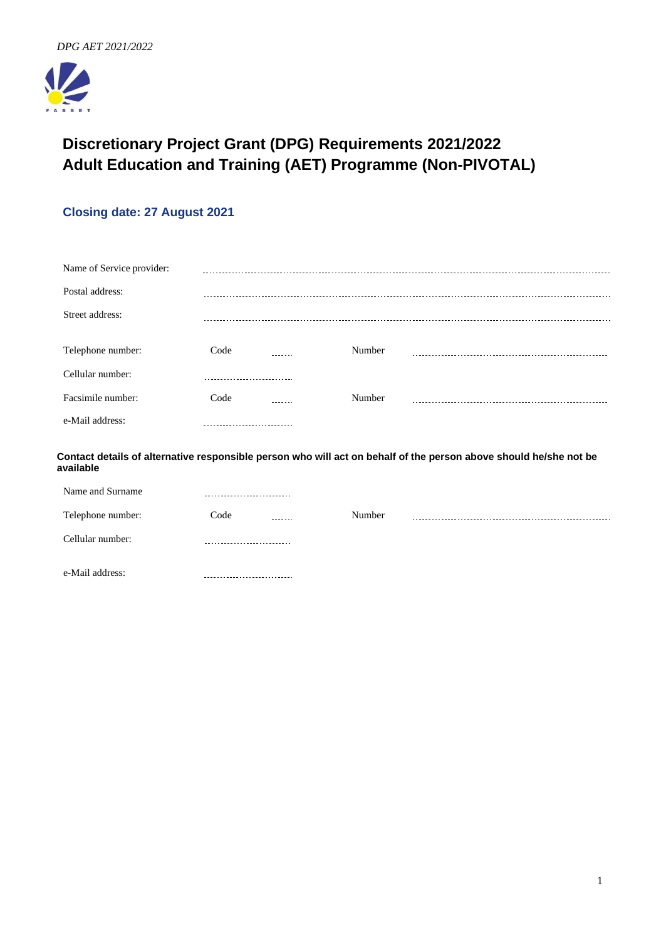

# **Discretionary Project Grant (DPG) Requirements 2021/2022 Adult Education and Training (AET) Programme (Non-PIVOTAL)**

# **Closing date: 27 August 2021**

| Name of Service provider: |                             |        |        |  |
|---------------------------|-----------------------------|--------|--------|--|
| Postal address:           |                             |        |        |  |
| Street address:           |                             |        |        |  |
| Telephone number:         | Code                        |        | Number |  |
| Cellular number:          |                             |        |        |  |
| Facsimile number:         | Code                        | ------ | Number |  |
| e-Mail address:           | --------------------------- |        |        |  |

**Contact details of alternative responsible person who will act on behalf of the person above should he/she not be available**

| Name and Surname  | --------------------------  |        |  |
|-------------------|-----------------------------|--------|--|
| Telephone number: | Code<br>-------             | Number |  |
| Cellular number:  | --------------------------- |        |  |
| e-Mail address:   |                             |        |  |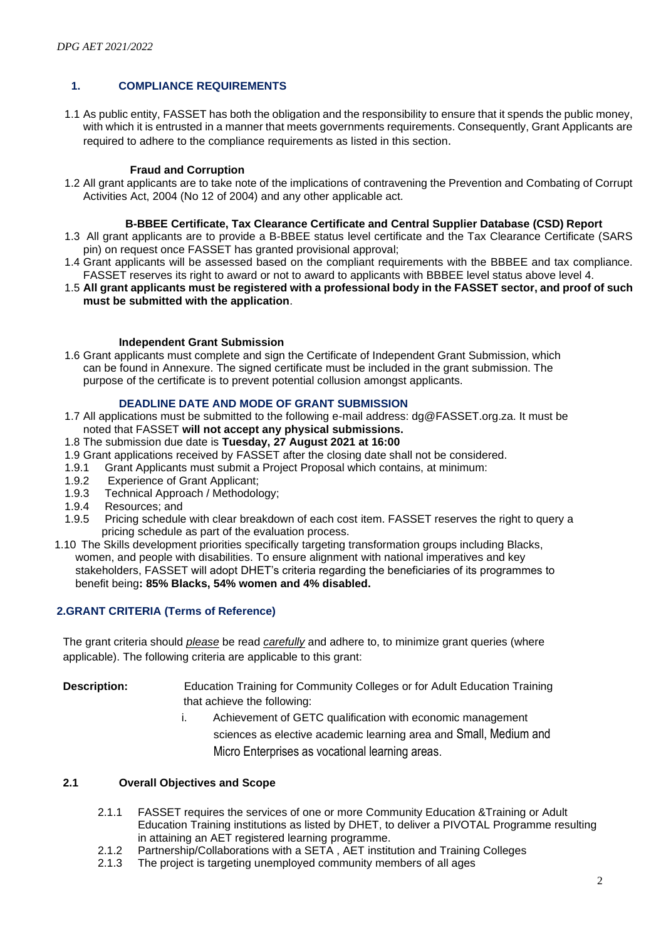# **1. COMPLIANCE REQUIREMENTS**

1.1 As public entity, FASSET has both the obligation and the responsibility to ensure that it spends the public money, with which it is entrusted in a manner that meets governments requirements. Consequently, Grant Applicants are required to adhere to the compliance requirements as listed in this section.

# **Fraud and Corruption**

1.2 All grant applicants are to take note of the implications of contravening the Prevention and Combating of Corrupt Activities Act, 2004 (No 12 of 2004) and any other applicable act.

### **B-BBEE Certificate, Tax Clearance Certificate and Central Supplier Database (CSD) Report**

- 1.3 All grant applicants are to provide a B-BBEE status level certificate and the Tax Clearance Certificate (SARS pin) on request once FASSET has granted provisional approval;
- 1.4 Grant applicants will be assessed based on the compliant requirements with the BBBEE and tax compliance. FASSET reserves its right to award or not to award to applicants with BBBEE level status above level 4.
- 1.5 **All grant applicants must be registered with a professional body in the FASSET sector, and proof of such must be submitted with the application**.

## **Independent Grant Submission**

1.6 Grant applicants must complete and sign the Certificate of Independent Grant Submission, which can be found in Annexure. The signed certificate must be included in the grant submission. The purpose of the certificate is to prevent potential collusion amongst applicants.

## **DEADLINE DATE AND MODE OF GRANT SUBMISSION**

- 1.7 All applications must be submitted to the following e-mail address: dg@FASSET.org.za. It must be noted that FASSET **will not accept any physical submissions.**
- 1.8 The submission due date is **Tuesday, 27 August 2021 at 16:00**
- 1.9 Grant applications received by FASSET after the closing date shall not be considered.
- 1.9.1 Grant Applicants must submit a Project Proposal which contains, at minimum:
- 1.9.2 Experience of Grant Applicant;<br>1.9.3 Technical Approach / Methodolo
- 1.9.3 Technical Approach / Methodology;<br>1.9.4 Resources: and
- 1.9.4 Resources; and<br>1.9.5 Pricing schedule
- Pricing schedule with clear breakdown of each cost item. FASSET reserves the right to query a pricing schedule as part of the evaluation process.
- 1.10 The Skills development priorities specifically targeting transformation groups including Blacks, women, and people with disabilities. To ensure alignment with national imperatives and key stakeholders, FASSET will adopt DHET's criteria regarding the beneficiaries of its programmes to benefit being**: 85% Blacks, 54% women and 4% disabled.**

## **2.GRANT CRITERIA (Terms of Reference)**

The grant criteria should *please* be read *carefully* and adhere to, to minimize grant queries (where applicable). The following criteria are applicable to this grant:

**Description:** Education Training for Community Colleges or for Adult Education Training that achieve the following:

> i. Achievement of GETC qualification with economic management sciences as elective academic learning area and Small, Medium and Micro Enterprises as vocational learning areas.

# **2.1 Overall Objectives and Scope**

- 2.1.1 FASSET requires the services of one or more Community Education &Training or Adult Education Training institutions as listed by DHET, to deliver a PIVOTAL Programme resulting in attaining an AET registered learning programme.
- 2.1.2 Partnership/Collaborations with a SETA, AET institution and Training Colleges<br>2.1.3 The project is targeting unemploved community members of all ages
- The project is targeting unemployed community members of all ages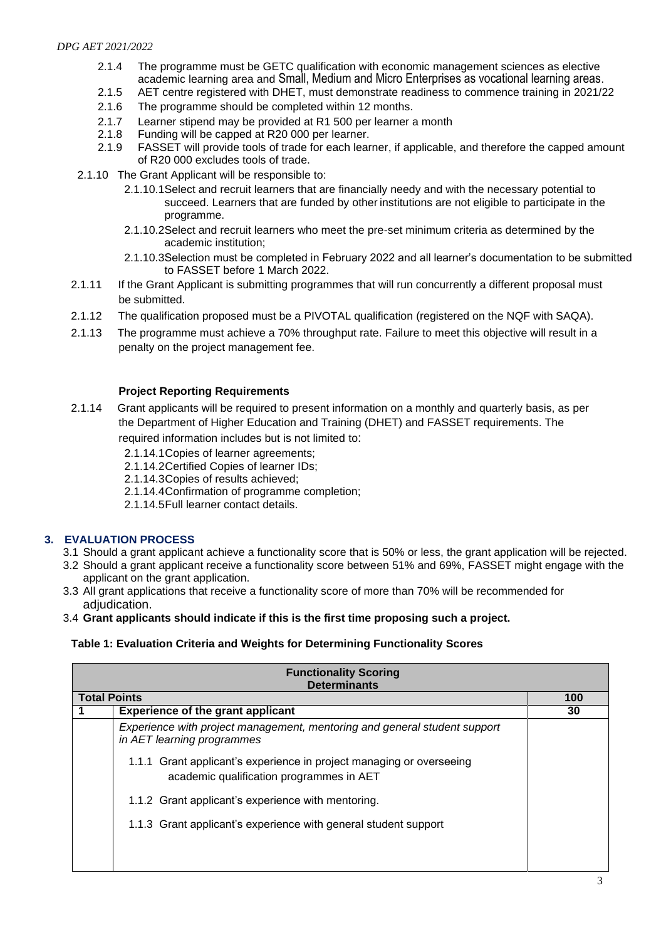- 2.1.4 The programme must be GETC qualification with economic management sciences as elective academic learning area and Small, Medium and Micro Enterprises as vocational learning areas.
- 2.1.5 AET centre registered with DHET, must demonstrate readiness to commence training in 2021/22
- 2.1.6 The programme should be completed within 12 months.
- 2.1.7 Learner stipend may be provided at R1 500 per learner a month
- 2.1.8 Funding will be capped at R20 000 per learner.
- 2.1.9 FASSET will provide tools of trade for each learner, if applicable, and therefore the capped amount of R20 000 excludes tools of trade.
- 2.1.10 The Grant Applicant will be responsible to:
	- 2.1.10.1Select and recruit learners that are financially needy and with the necessary potential to succeed. Learners that are funded by other institutions are not eligible to participate in the programme.
	- 2.1.10.2Select and recruit learners who meet the pre-set minimum criteria as determined by the academic institution;
	- 2.1.10.3Selection must be completed in February 2022 and all learner's documentation to be submitted to FASSET before 1 March 2022.
- 2.1.11 If the Grant Applicant is submitting programmes that will run concurrently a different proposal must be submitted.
- 2.1.12 The qualification proposed must be a PIVOTAL qualification (registered on the NQF with SAQA).
- 2.1.13 The programme must achieve a 70% throughput rate. Failure to meet this objective will result in a penalty on the project management fee.

# **Project Reporting Requirements**

- 2.1.14 Grant applicants will be required to present information on a monthly and quarterly basis, as per the Department of Higher Education and Training (DHET) and FASSET requirements. The required information includes but is not limited to:
	- 2.1.14.1Copies of learner agreements;
	- 2.1.14.2Certified Copies of learner IDs;
	- 2.1.14.3Copies of results achieved;
	- 2.1.14.4Confirmation of programme completion;
	- 2.1.14.5Full learner contact details.

# **3. EVALUATION PROCESS**

- 3.1 Should a grant applicant achieve a functionality score that is 50% or less, the grant application will be rejected.
- 3.2 Should a grant applicant receive a functionality score between 51% and 69%, FASSET might engage with the applicant on the grant application.
- 3.3 All grant applications that receive a functionality score of more than 70% will be recommended for adiudication.
- 3.4 **Grant applicants should indicate if this is the first time proposing such a project.**

# **Table 1: Evaluation Criteria and Weights for Determining Functionality Scores**

| <b>Functionality Scoring</b><br><b>Determinants</b> |                                                                                                                  |     |
|-----------------------------------------------------|------------------------------------------------------------------------------------------------------------------|-----|
| <b>Total Points</b>                                 |                                                                                                                  | 100 |
|                                                     | <b>Experience of the grant applicant</b>                                                                         | 30  |
|                                                     | Experience with project management, mentoring and general student support<br>in AET learning programmes          |     |
|                                                     | 1.1.1 Grant applicant's experience in project managing or overseeing<br>academic qualification programmes in AET |     |
|                                                     | 1.1.2 Grant applicant's experience with mentoring.                                                               |     |
|                                                     | 1.1.3 Grant applicant's experience with general student support                                                  |     |
|                                                     |                                                                                                                  |     |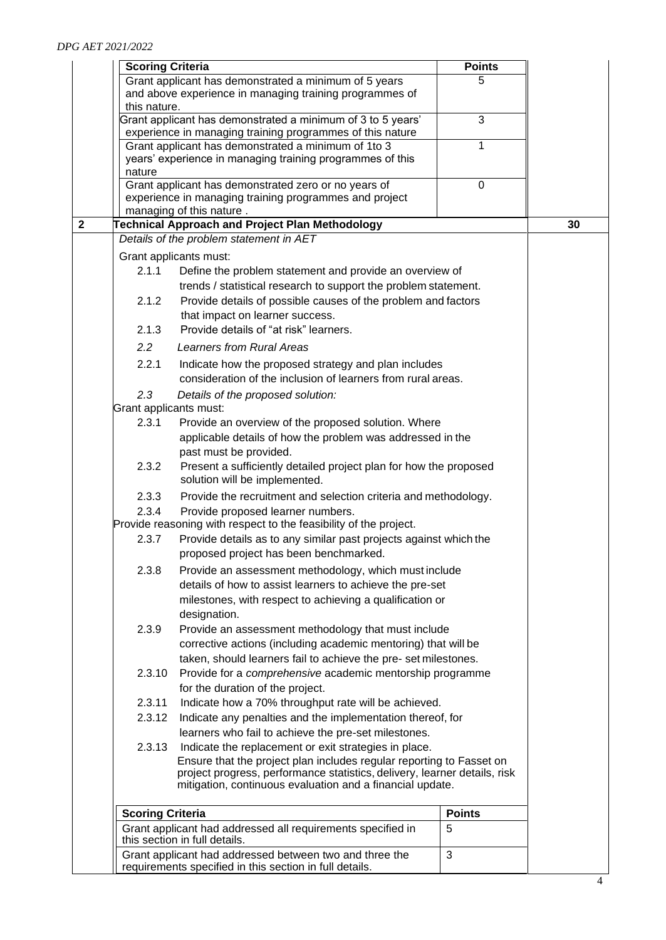| <b>Points</b><br><b>Scoring Criteria</b>                                                                                               |    |
|----------------------------------------------------------------------------------------------------------------------------------------|----|
| Grant applicant has demonstrated a minimum of 5 years<br>5                                                                             |    |
| and above experience in managing training programmes of                                                                                |    |
| this nature.                                                                                                                           |    |
| 3<br>Grant applicant has demonstrated a minimum of 3 to 5 years'                                                                       |    |
| experience in managing training programmes of this nature<br>Grant applicant has demonstrated a minimum of 1to 3<br>1                  |    |
| years' experience in managing training programmes of this                                                                              |    |
| nature                                                                                                                                 |    |
| Grant applicant has demonstrated zero or no years of<br>0                                                                              |    |
| experience in managing training programmes and project                                                                                 |    |
| managing of this nature.                                                                                                               |    |
| $\overline{2}$<br>Technical Approach and Project Plan Methodology                                                                      | 30 |
| Details of the problem statement in AET                                                                                                |    |
| Grant applicants must:                                                                                                                 |    |
| 2.1.1<br>Define the problem statement and provide an overview of                                                                       |    |
| trends / statistical research to support the problem statement.                                                                        |    |
| Provide details of possible causes of the problem and factors<br>2.1.2                                                                 |    |
| that impact on learner success.<br>Provide details of "at risk" learners.                                                              |    |
| 2.1.3                                                                                                                                  |    |
| $2.2^{\circ}$<br><b>Learners from Rural Areas</b>                                                                                      |    |
| 2.2.1<br>Indicate how the proposed strategy and plan includes                                                                          |    |
| consideration of the inclusion of learners from rural areas.                                                                           |    |
| 2.3<br>Details of the proposed solution:                                                                                               |    |
| Grant applicants must:                                                                                                                 |    |
| 2.3.1<br>Provide an overview of the proposed solution. Where                                                                           |    |
| applicable details of how the problem was addressed in the<br>past must be provided.                                                   |    |
| Present a sufficiently detailed project plan for how the proposed<br>2.3.2                                                             |    |
| solution will be implemented.                                                                                                          |    |
| 2.3.3<br>Provide the recruitment and selection criteria and methodology.                                                               |    |
| 2.3.4<br>Provide proposed learner numbers.                                                                                             |    |
| Provide reasoning with respect to the feasibility of the project.                                                                      |    |
| 2.3.7<br>Provide details as to any similar past projects against which the                                                             |    |
| proposed project has been benchmarked.                                                                                                 |    |
| 2.3.8<br>Provide an assessment methodology, which must include                                                                         |    |
| details of how to assist learners to achieve the pre-set                                                                               |    |
| milestones, with respect to achieving a qualification or                                                                               |    |
| designation.                                                                                                                           |    |
| 2.3.9<br>Provide an assessment methodology that must include                                                                           |    |
| corrective actions (including academic mentoring) that will be                                                                         |    |
| taken, should learners fail to achieve the pre-set milestones.                                                                         |    |
| 2.3.10<br>Provide for a <i>comprehensive</i> academic mentorship programme                                                             |    |
| for the duration of the project.                                                                                                       |    |
| 2.3.11<br>Indicate how a 70% throughput rate will be achieved.                                                                         |    |
| Indicate any penalties and the implementation thereof, for<br>2.3.12                                                                   |    |
| learners who fail to achieve the pre-set milestones.                                                                                   |    |
| 2.3.13<br>Indicate the replacement or exit strategies in place.                                                                        |    |
| Ensure that the project plan includes regular reporting to Fasset on                                                                   |    |
| project progress, performance statistics, delivery, learner details, risk<br>mitigation, continuous evaluation and a financial update. |    |
|                                                                                                                                        |    |
| <b>Scoring Criteria</b><br><b>Points</b>                                                                                               |    |
| Grant applicant had addressed all requirements specified in<br>5<br>this section in full details.                                      |    |
| Grant applicant had addressed between two and three the<br>3<br>requirements specified in this section in full details.                |    |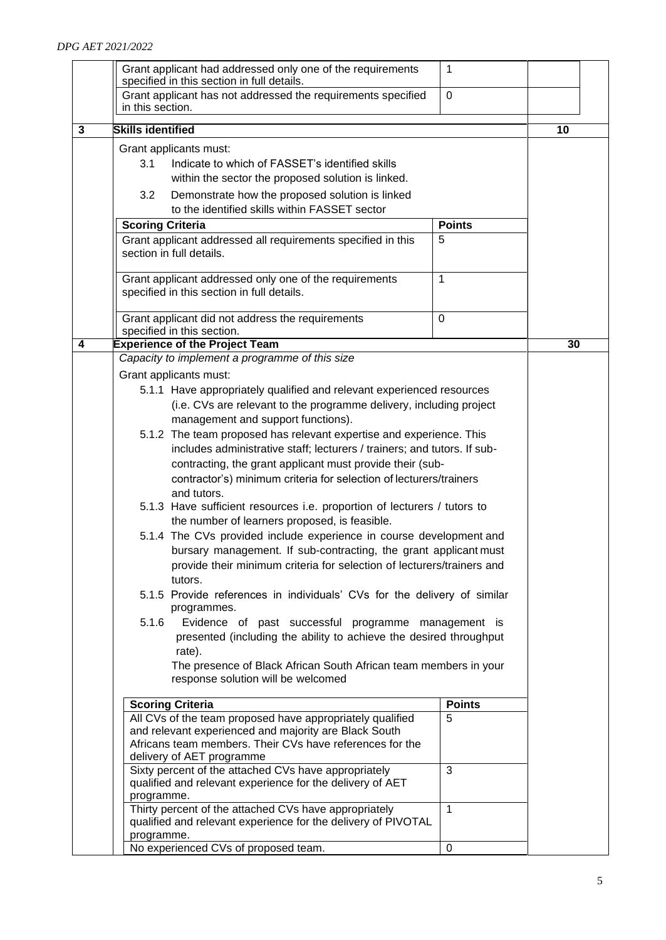|   | Grant applicant had addressed only one of the requirements<br>specified in this section in full details.                                                                                         | $\mathbf{1}$  |    |  |
|---|--------------------------------------------------------------------------------------------------------------------------------------------------------------------------------------------------|---------------|----|--|
|   | Grant applicant has not addressed the requirements specified<br>in this section.                                                                                                                 | $\mathbf 0$   |    |  |
|   |                                                                                                                                                                                                  |               |    |  |
| 3 | <b>Skills identified</b>                                                                                                                                                                         |               | 10 |  |
|   | Grant applicants must:<br>3.1<br>Indicate to which of FASSET's identified skills<br>within the sector the proposed solution is linked.<br>3.2<br>Demonstrate how the proposed solution is linked |               |    |  |
|   | to the identified skills within FASSET sector                                                                                                                                                    |               |    |  |
|   | <b>Scoring Criteria</b>                                                                                                                                                                          | <b>Points</b> |    |  |
|   | Grant applicant addressed all requirements specified in this<br>section in full details.                                                                                                         | 5             |    |  |
|   | Grant applicant addressed only one of the requirements<br>specified in this section in full details.                                                                                             | $\mathbf{1}$  |    |  |
|   | Grant applicant did not address the requirements                                                                                                                                                 | $\mathbf 0$   |    |  |
|   | specified in this section.                                                                                                                                                                       |               |    |  |
| 4 | <b>Experience of the Project Team</b><br>Capacity to implement a programme of this size                                                                                                          |               | 30 |  |
|   |                                                                                                                                                                                                  |               |    |  |
|   | Grant applicants must:                                                                                                                                                                           |               |    |  |
|   | 5.1.1 Have appropriately qualified and relevant experienced resources                                                                                                                            |               |    |  |
|   | (i.e. CVs are relevant to the programme delivery, including project                                                                                                                              |               |    |  |
|   | management and support functions).                                                                                                                                                               |               |    |  |
|   | 5.1.2 The team proposed has relevant expertise and experience. This                                                                                                                              |               |    |  |
|   | includes administrative staff; lecturers / trainers; and tutors. If sub-                                                                                                                         |               |    |  |
|   | contracting, the grant applicant must provide their (sub-                                                                                                                                        |               |    |  |
|   | contractor's) minimum criteria for selection of lecturers/trainers                                                                                                                               |               |    |  |
|   | and tutors.                                                                                                                                                                                      |               |    |  |
|   | 5.1.3 Have sufficient resources i.e. proportion of lecturers / tutors to                                                                                                                         |               |    |  |
|   | the number of learners proposed, is feasible.                                                                                                                                                    |               |    |  |
|   | 5.1.4 The CVs provided include experience in course development and                                                                                                                              |               |    |  |
|   | bursary management. If sub-contracting, the grant applicant must                                                                                                                                 |               |    |  |
|   | provide their minimum criteria for selection of lecturers/trainers and                                                                                                                           |               |    |  |
|   | tutors.                                                                                                                                                                                          |               |    |  |
|   | 5.1.5 Provide references in individuals' CVs for the delivery of similar<br>programmes.                                                                                                          |               |    |  |
|   | 5.1.6<br>Evidence of past successful programme management is                                                                                                                                     |               |    |  |
|   | presented (including the ability to achieve the desired throughput                                                                                                                               |               |    |  |
|   | rate).                                                                                                                                                                                           |               |    |  |
|   | The presence of Black African South African team members in your<br>response solution will be welcomed                                                                                           |               |    |  |
|   |                                                                                                                                                                                                  | <b>Points</b> |    |  |
|   | <b>Scoring Criteria</b><br>All CVs of the team proposed have appropriately qualified                                                                                                             | 5             |    |  |
|   | and relevant experienced and majority are Black South                                                                                                                                            |               |    |  |
|   | Africans team members. Their CVs have references for the                                                                                                                                         |               |    |  |
|   | delivery of AET programme                                                                                                                                                                        |               |    |  |
|   | Sixty percent of the attached CVs have appropriately                                                                                                                                             | 3             |    |  |
|   | qualified and relevant experience for the delivery of AET                                                                                                                                        |               |    |  |
|   | programme.                                                                                                                                                                                       |               |    |  |
|   | Thirty percent of the attached CVs have appropriately                                                                                                                                            | $\mathbf{1}$  |    |  |
|   | qualified and relevant experience for the delivery of PIVOTAL                                                                                                                                    |               |    |  |
|   | programme.                                                                                                                                                                                       |               |    |  |
|   | No experienced CVs of proposed team.                                                                                                                                                             | $\pmb{0}$     |    |  |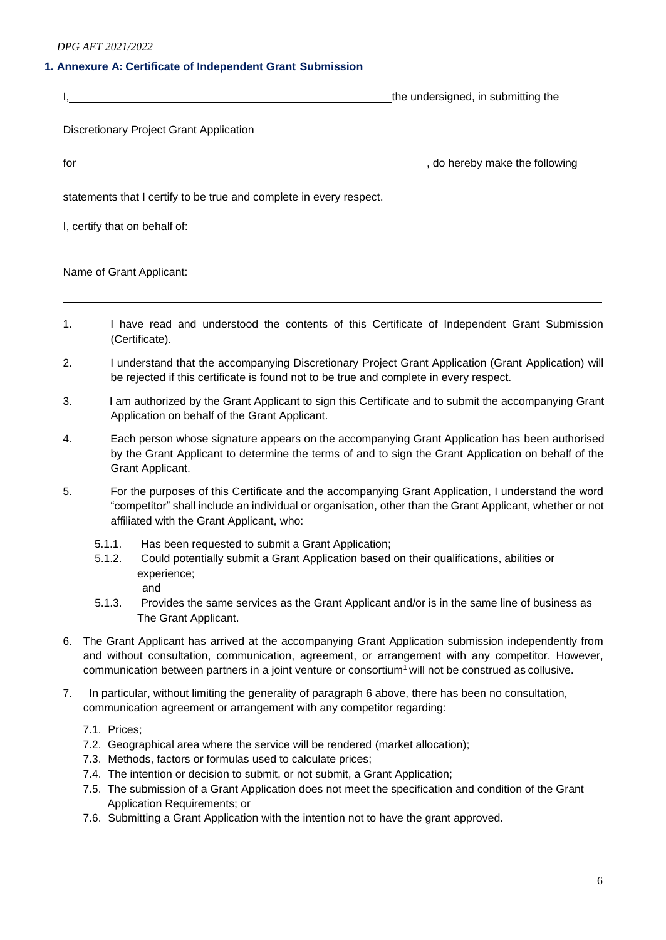# **1. Annexure A: Certificate of Independent Grant Submission**

|                                                                     | the undersigned, in submitting the |
|---------------------------------------------------------------------|------------------------------------|
| <b>Discretionary Project Grant Application</b>                      |                                    |
| for                                                                 | do hereby make the following       |
| statements that I certify to be true and complete in every respect. |                                    |
| I, certify that on behalf of:                                       |                                    |

Name of Grant Applicant:

- 1. I have read and understood the contents of this Certificate of Independent Grant Submission (Certificate).
- 2. I understand that the accompanying Discretionary Project Grant Application (Grant Application) will be rejected if this certificate is found not to be true and complete in every respect.
- 3. I am authorized by the Grant Applicant to sign this Certificate and to submit the accompanying Grant Application on behalf of the Grant Applicant.
- 4. Each person whose signature appears on the accompanying Grant Application has been authorised by the Grant Applicant to determine the terms of and to sign the Grant Application on behalf of the Grant Applicant.
- 5. For the purposes of this Certificate and the accompanying Grant Application, I understand the word "competitor" shall include an individual or organisation, other than the Grant Applicant, whether or not affiliated with the Grant Applicant, who:
	- 5.1.1. Has been requested to submit a Grant Application;
	- 5.1.2. Could potentially submit a Grant Application based on their qualifications, abilities or experience;

and

- 5.1.3. Provides the same services as the Grant Applicant and/or is in the same line of business as The Grant Applicant.
- 6. The Grant Applicant has arrived at the accompanying Grant Application submission independently from and without consultation, communication, agreement, or arrangement with any competitor. However, communication between partners in a joint venture or consortium<sup>1</sup> will not be construed as collusive.
- 7. In particular, without limiting the generality of paragraph 6 above, there has been no consultation, communication agreement or arrangement with any competitor regarding:
	- 7.1. Prices;
	- 7.2. Geographical area where the service will be rendered (market allocation);
	- 7.3. Methods, factors or formulas used to calculate prices;
	- 7.4. The intention or decision to submit, or not submit, a Grant Application;
	- 7.5. The submission of a Grant Application does not meet the specification and condition of the Grant Application Requirements; or
	- 7.6. Submitting a Grant Application with the intention not to have the grant approved.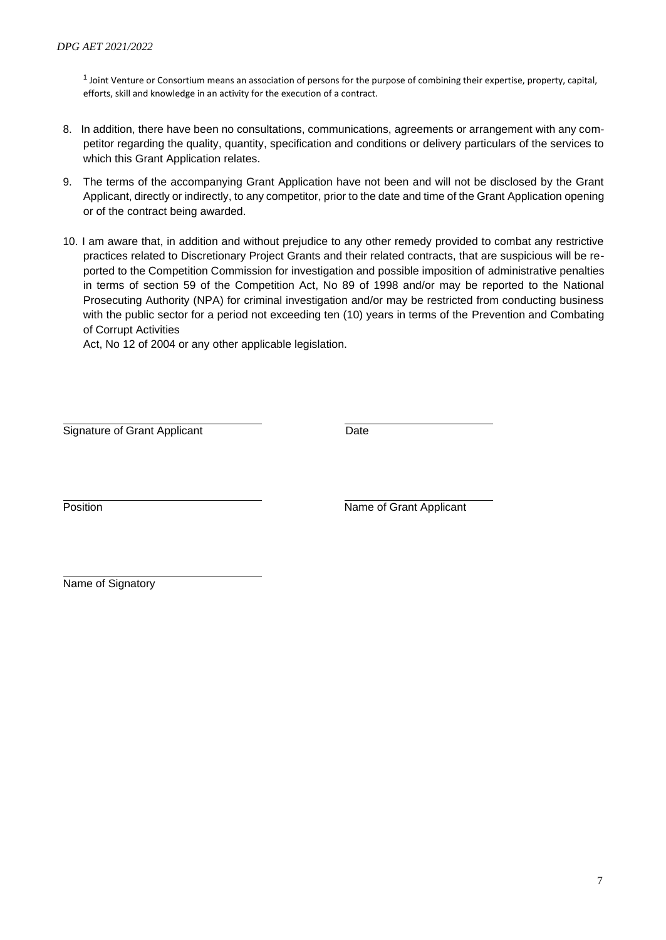$1$  Joint Venture or Consortium means an association of persons for the purpose of combining their expertise, property, capital, efforts, skill and knowledge in an activity for the execution of a contract.

- 8. In addition, there have been no consultations, communications, agreements or arrangement with any competitor regarding the quality, quantity, specification and conditions or delivery particulars of the services to which this Grant Application relates.
- 9. The terms of the accompanying Grant Application have not been and will not be disclosed by the Grant Applicant, directly or indirectly, to any competitor, prior to the date and time of the Grant Application opening or of the contract being awarded.
- 10. I am aware that, in addition and without prejudice to any other remedy provided to combat any restrictive practices related to Discretionary Project Grants and their related contracts, that are suspicious will be reported to the Competition Commission for investigation and possible imposition of administrative penalties in terms of section 59 of the Competition Act, No 89 of 1998 and/or may be reported to the National Prosecuting Authority (NPA) for criminal investigation and/or may be restricted from conducting business with the public sector for a period not exceeding ten (10) years in terms of the Prevention and Combating of Corrupt Activities

Act, No 12 of 2004 or any other applicable legislation.

Signature of Grant Applicant **Date** 

Position **Name of Grant Applicant** 

Name of Signatory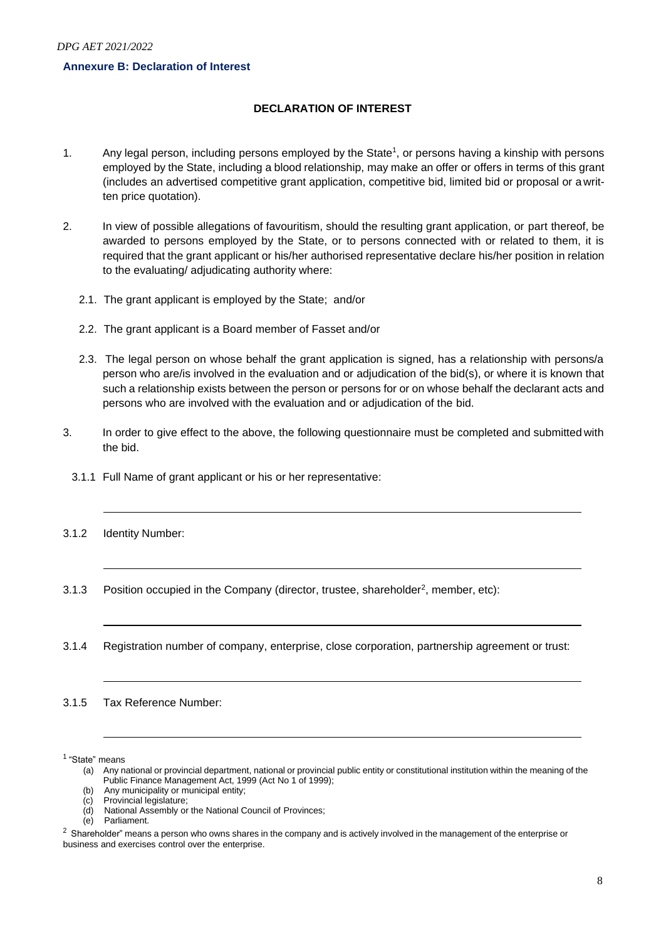### **Annexure B: Declaration of Interest**

# **DECLARATION OF INTEREST**

- 1. Any legal person, including persons employed by the State<sup>1</sup>, or persons having a kinship with persons employed by the State, including a blood relationship, may make an offer or offers in terms of this grant (includes an advertised competitive grant application, competitive bid, limited bid or proposal or a written price quotation).
- 2. In view of possible allegations of favouritism, should the resulting grant application, or part thereof, be awarded to persons employed by the State, or to persons connected with or related to them, it is required that the grant applicant or his/her authorised representative declare his/her position in relation to the evaluating/ adjudicating authority where:
	- 2.1. The grant applicant is employed by the State; and/or
	- 2.2. The grant applicant is a Board member of Fasset and/or
	- 2.3. The legal person on whose behalf the grant application is signed, has a relationship with persons/a person who are/is involved in the evaluation and or adjudication of the bid(s), or where it is known that such a relationship exists between the person or persons for or on whose behalf the declarant acts and persons who are involved with the evaluation and or adjudication of the bid.
- 3. In order to give effect to the above, the following questionnaire must be completed and submitted with the bid.
	- 3.1.1 Full Name of grant applicant or his or her representative:
- 3.1.2 Identity Number:
- 3.1.3 Position occupied in the Company (director, trustee, shareholder<sup>2</sup>, member, etc):
- 3.1.4 Registration number of company, enterprise, close corporation, partnership agreement or trust:

3.1.5 Tax Reference Number:

<sup>1</sup> "State" means

<sup>(</sup>a) Any national or provincial department, national or provincial public entity or constitutional institution within the meaning of the Public Finance Management Act, 1999 (Act No 1 of 1999);

<sup>(</sup>b) Any municipality or municipal entity;

<sup>(</sup>c) Provincial legislature;

<sup>(</sup>d) National Assembly or the National Council of Provinces;

Parliament.

 $2$  Shareholder" means a person who owns shares in the company and is actively involved in the management of the enterprise or business and exercises control over the enterprise.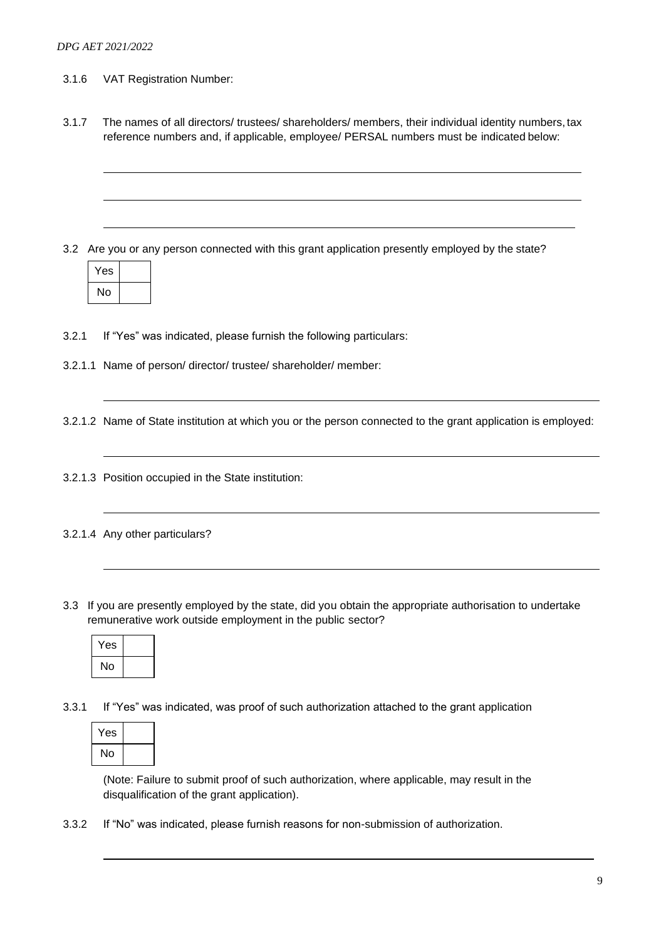- 3.1.6 VAT Registration Number:
- 3.1.7 The names of all directors/ trustees/ shareholders/ members, their individual identity numbers, tax reference numbers and, if applicable, employee/ PERSAL numbers must be indicated below:

3.2 Are you or any person connected with this grant application presently employed by the state?

| Yes |  |
|-----|--|
| No  |  |

3.2.1 If "Yes" was indicated, please furnish the following particulars:

3.2.1.1 Name of person/ director/ trustee/ shareholder/ member:

3.2.1.2 Name of State institution at which you or the person connected to the grant application is employed:

- 3.2.1.3 Position occupied in the State institution:
- 3.2.1.4 Any other particulars?
- 3.3 If you are presently employed by the state, did you obtain the appropriate authorisation to undertake remunerative work outside employment in the public sector?

| Yes |  |
|-----|--|
| No  |  |

3.3.1 If "Yes" was indicated, was proof of such authorization attached to the grant application



(Note: Failure to submit proof of such authorization, where applicable, may result in the disqualification of the grant application).

3.3.2 If "No" was indicated, please furnish reasons for non-submission of authorization.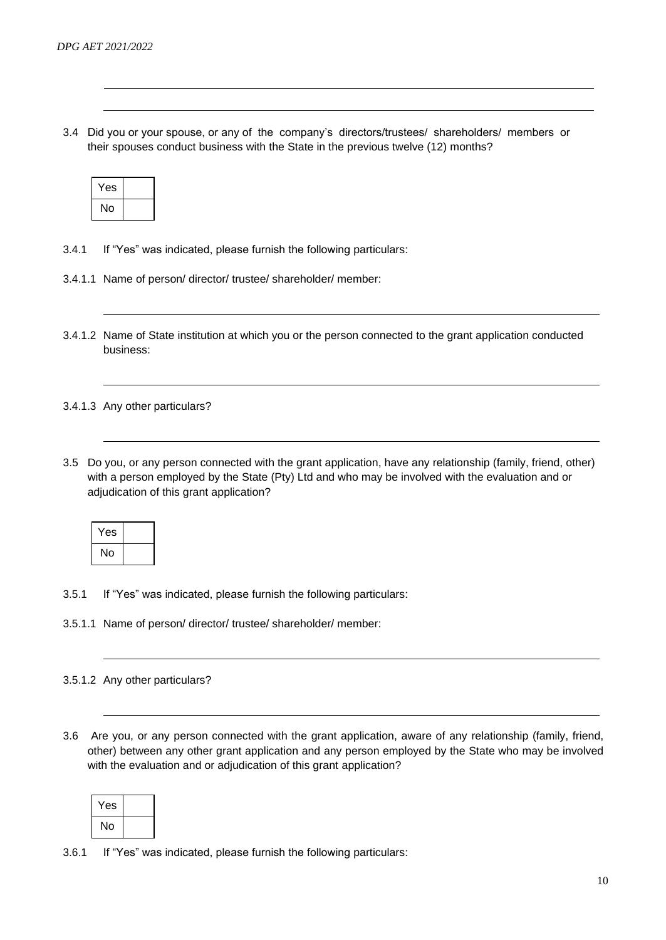3.4 Did you or your spouse, or any of the company's directors/trustees/ shareholders/ members or their spouses conduct business with the State in the previous twelve (12) months?

| Yes |  |
|-----|--|
| No  |  |

- 3.4.1 If "Yes" was indicated, please furnish the following particulars:
- 3.4.1.1 Name of person/ director/ trustee/ shareholder/ member:
- 3.4.1.2 Name of State institution at which you or the person connected to the grant application conducted business:

3.4.1.3 Any other particulars?

3.5 Do you, or any person connected with the grant application, have any relationship (family, friend, other) with a person employed by the State (Pty) Ltd and who may be involved with the evaluation and or adjudication of this grant application?

| Yes |  |
|-----|--|
| No  |  |

- 3.5.1 If "Yes" was indicated, please furnish the following particulars:
- 3.5.1.1 Name of person/ director/ trustee/ shareholder/ member:

### 3.5.1.2 Any other particulars?

3.6 Are you, or any person connected with the grant application, aware of any relationship (family, friend, other) between any other grant application and any person employed by the State who may be involved with the evaluation and or adjudication of this grant application?

| 'es |  |
|-----|--|
| No  |  |

3.6.1 If "Yes" was indicated, please furnish the following particulars: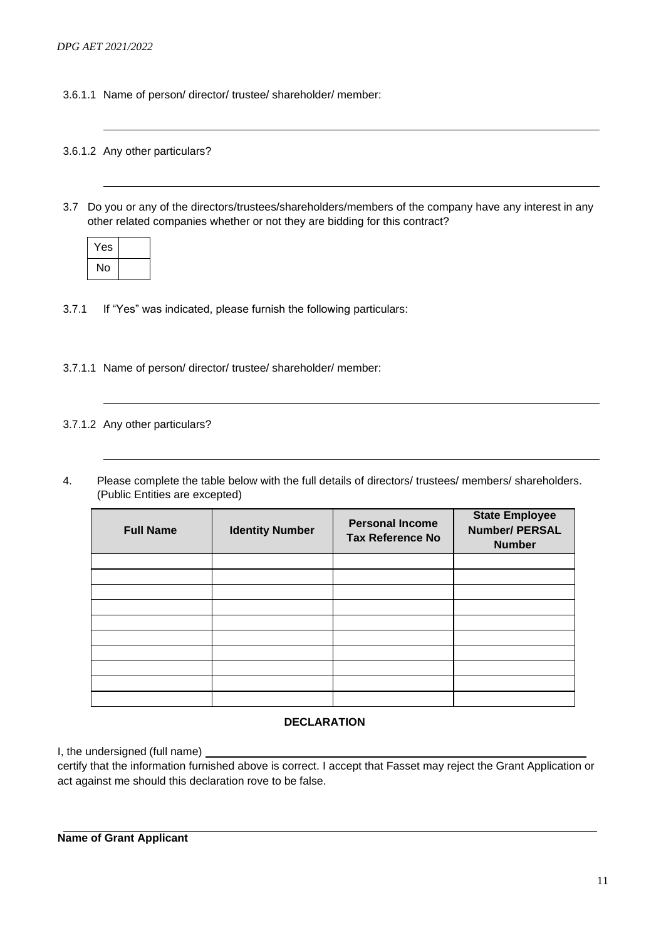3.6.1.1 Name of person/ director/ trustee/ shareholder/ member:

### 3.6.1.2 Any other particulars?

3.7 Do you or any of the directors/trustees/shareholders/members of the company have any interest in any other related companies whether or not they are bidding for this contract?

| Yes |  |
|-----|--|
| No  |  |

3.7.1 If "Yes" was indicated, please furnish the following particulars:

3.7.1.1 Name of person/ director/ trustee/ shareholder/ member:

## 3.7.1.2 Any other particulars?

4. Please complete the table below with the full details of directors/ trustees/ members/ shareholders. (Public Entities are excepted)

| <b>Full Name</b> | <b>Identity Number</b> | <b>Personal Income</b><br><b>Tax Reference No</b> | <b>State Employee</b><br><b>Number/ PERSAL</b><br><b>Number</b> |
|------------------|------------------------|---------------------------------------------------|-----------------------------------------------------------------|
|                  |                        |                                                   |                                                                 |
|                  |                        |                                                   |                                                                 |
|                  |                        |                                                   |                                                                 |
|                  |                        |                                                   |                                                                 |
|                  |                        |                                                   |                                                                 |
|                  |                        |                                                   |                                                                 |
|                  |                        |                                                   |                                                                 |
|                  |                        |                                                   |                                                                 |
|                  |                        |                                                   |                                                                 |
|                  |                        |                                                   |                                                                 |

#### **DECLARATION**

I, the undersigned (full name)

certify that the information furnished above is correct. I accept that Fasset may reject the Grant Application or act against me should this declaration rove to be false.